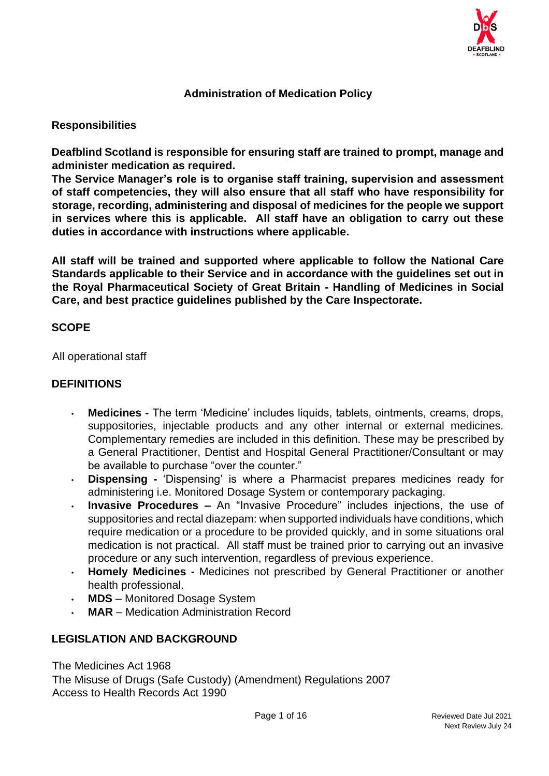

### **Administration of Medication Policy**

### **Responsibilities**

**Deafblind Scotland is responsible for ensuring staff are trained to prompt, manage and administer medication as required.**

**The Service Manager's role is to organise staff training, supervision and assessment of staff competencies, they will also ensure that all staff who have responsibility for storage, recording, administering and disposal of medicines for the people we support in services where this is applicable. All staff have an obligation to carry out these duties in accordance with instructions where applicable.** 

**All staff will be trained and supported where applicable to follow the National Care Standards applicable to their Service and in accordance with the guidelines set out in the Royal Pharmaceutical Society of Great Britain - Handling of Medicines in Social Care, and best practice guidelines published by the Care Inspectorate.** 

#### **SCOPE**

All operational staff

### **DEFINITIONS**

- **Medicines -** The term 'Medicine' includes liquids, tablets, ointments, creams, drops, suppositories, injectable products and any other internal or external medicines. Complementary remedies are included in this definition. These may be prescribed by a General Practitioner, Dentist and Hospital General Practitioner/Consultant or may be available to purchase "over the counter."
- **Dispensing -** 'Dispensing' is where a Pharmacist prepares medicines ready for administering i.e. Monitored Dosage System or contemporary packaging.
- **Invasive Procedures –** An "Invasive Procedure" includes injections, the use of suppositories and rectal diazepam: when supported individuals have conditions, which require medication or a procedure to be provided quickly, and in some situations oral medication is not practical.All staff must be trained prior to carrying out an invasive procedure or any such intervention, regardless of previous experience.
- **Homely Medicines -** Medicines not prescribed by General Practitioner or another health professional.
- **MDS**  Monitored Dosage System
- **MAR**  Medication Administration Record

# **LEGISLATION AND BACKGROUND**

The Medicines Act 1968 The Misuse of Drugs (Safe Custody) (Amendment) Regulations 2007 Access to Health Records Act 1990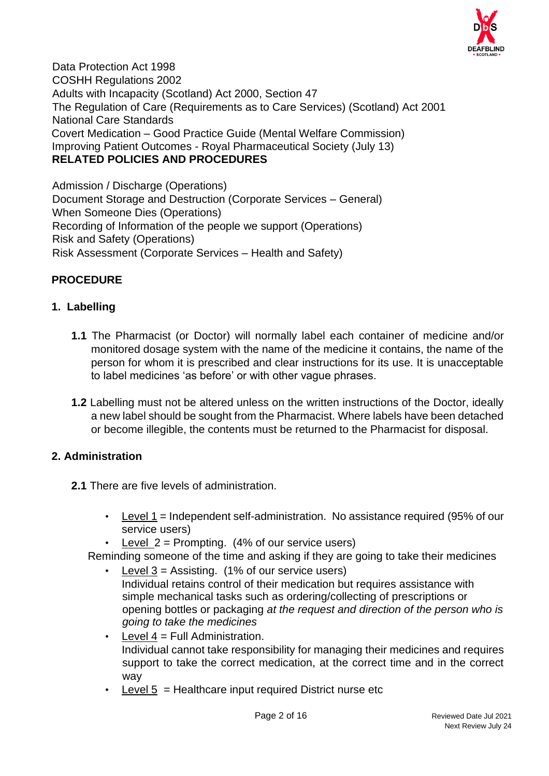

Data Protection Act 1998 COSHH Regulations 2002 Adults with Incapacity (Scotland) Act 2000, Section 47 The Regulation of Care (Requirements as to Care Services) (Scotland) Act 2001 National Care Standards Covert Medication – Good Practice Guide (Mental Welfare Commission) Improving Patient Outcomes - Royal Pharmaceutical Society (July 13) **RELATED POLICIES AND PROCEDURES** 

Admission / Discharge (Operations) Document Storage and Destruction (Corporate Services – General) When Someone Dies (Operations) Recording of Information of the people we support (Operations) Risk and Safety (Operations) Risk Assessment (Corporate Services – Health and Safety)

# **PROCEDURE**

# **1. Labelling**

- **1.1** The Pharmacist (or Doctor) will normally label each container of medicine and/or monitored dosage system with the name of the medicine it contains, the name of the person for whom it is prescribed and clear instructions for its use. It is unacceptable to label medicines 'as before' or with other vague phrases.
- **1.2** Labelling must not be altered unless on the written instructions of the Doctor, ideally a new label should be sought from the Pharmacist. Where labels have been detached or become illegible, the contents must be returned to the Pharmacist for disposal.

# **2. Administration**

**2.1** There are five levels of administration.

- Level 1 = Independent self-administration. No assistance required (95% of our service users)
- Level  $2$  = Prompting. (4% of our service users)

Reminding someone of the time and asking if they are going to take their medicines

- Level  $3 =$  Assisting. (1% of our service users) Individual retains control of their medication but requires assistance with simple mechanical tasks such as ordering/collecting of prescriptions or opening bottles or packaging *at the request and direction of the person who is going to take the medicines*
- Level  $4$  = Full Administration. Individual cannot take responsibility for managing their medicines and requires support to take the correct medication, at the correct time and in the correct way
- Level  $5 =$  Healthcare input required District nurse etc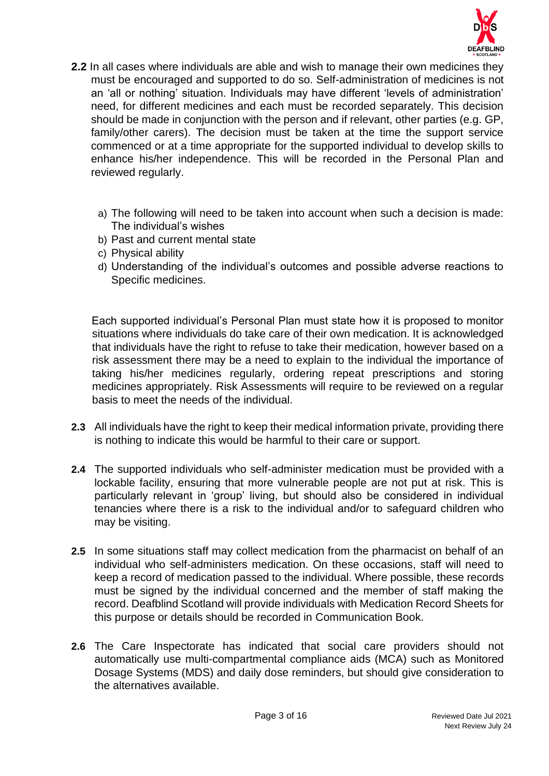

- **2.2** In all cases where individuals are able and wish to manage their own medicines they must be encouraged and supported to do so. Self-administration of medicines is not an 'all or nothing' situation. Individuals may have different 'levels of administration' need, for different medicines and each must be recorded separately. This decision should be made in conjunction with the person and if relevant, other parties (e.g. GP, family/other carers). The decision must be taken at the time the support service commenced or at a time appropriate for the supported individual to develop skills to enhance his/her independence. This will be recorded in the Personal Plan and reviewed regularly.
	- a) The following will need to be taken into account when such a decision is made: The individual's wishes
	- b) Past and current mental state
	- c) Physical ability
	- d) Understanding of the individual's outcomes and possible adverse reactions to Specific medicines.

Each supported individual's Personal Plan must state how it is proposed to monitor situations where individuals do take care of their own medication. It is acknowledged that individuals have the right to refuse to take their medication, however based on a risk assessment there may be a need to explain to the individual the importance of taking his/her medicines regularly, ordering repeat prescriptions and storing medicines appropriately. Risk Assessments will require to be reviewed on a regular basis to meet the needs of the individual.

- **2.3** All individuals have the right to keep their medical information private, providing there is nothing to indicate this would be harmful to their care or support.
- **2.4** The supported individuals who self-administer medication must be provided with a lockable facility, ensuring that more vulnerable people are not put at risk. This is particularly relevant in 'group' living, but should also be considered in individual tenancies where there is a risk to the individual and/or to safeguard children who may be visiting.
- **2.5** In some situations staff may collect medication from the pharmacist on behalf of an individual who self-administers medication. On these occasions, staff will need to keep a record of medication passed to the individual. Where possible, these records must be signed by the individual concerned and the member of staff making the record. Deafblind Scotland will provide individuals with Medication Record Sheets for this purpose or details should be recorded in Communication Book.
- **2.6** The Care Inspectorate has indicated that social care providers should not automatically use multi-compartmental compliance aids (MCA) such as Monitored Dosage Systems (MDS) and daily dose reminders, but should give consideration to the alternatives available.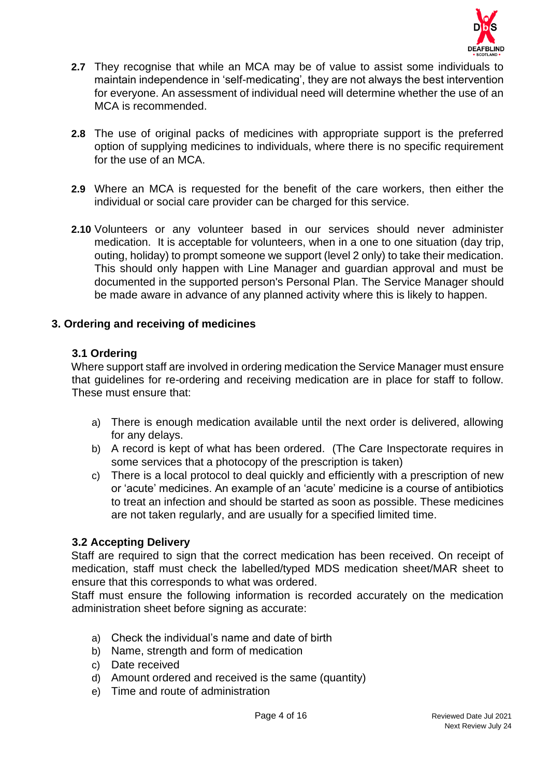

- **2.7** They recognise that while an MCA may be of value to assist some individuals to maintain independence in 'self-medicating', they are not always the best intervention for everyone. An assessment of individual need will determine whether the use of an MCA is recommended.
- **2.8** The use of original packs of medicines with appropriate support is the preferred option of supplying medicines to individuals, where there is no specific requirement for the use of an MCA.
- **2.9** Where an MCA is requested for the benefit of the care workers, then either the individual or social care provider can be charged for this service.
- **2.10** Volunteers or any volunteer based in our services should never administer medication. It is acceptable for volunteers, when in a one to one situation (day trip, outing, holiday) to prompt someone we support (level 2 only) to take their medication. This should only happen with Line Manager and guardian approval and must be documented in the supported person's Personal Plan. The Service Manager should be made aware in advance of any planned activity where this is likely to happen.

# **3. Ordering and receiving of medicines**

### **3.1 Ordering**

Where support staff are involved in ordering medication the Service Manager must ensure that guidelines for re-ordering and receiving medication are in place for staff to follow. These must ensure that:

- a) There is enough medication available until the next order is delivered, allowing for any delays.
- b) A record is kept of what has been ordered. (The Care Inspectorate requires in some services that a photocopy of the prescription is taken)
- c) There is a local protocol to deal quickly and efficiently with a prescription of new or 'acute' medicines. An example of an 'acute' medicine is a course of antibiotics to treat an infection and should be started as soon as possible. These medicines are not taken regularly, and are usually for a specified limited time.

# **3.2 Accepting Delivery**

Staff are required to sign that the correct medication has been received. On receipt of medication, staff must check the labelled/typed MDS medication sheet/MAR sheet to ensure that this corresponds to what was ordered.

Staff must ensure the following information is recorded accurately on the medication administration sheet before signing as accurate:

- a) Check the individual's name and date of birth
- b) Name, strength and form of medication
- c) Date received
- d) Amount ordered and received is the same (quantity)
- e) Time and route of administration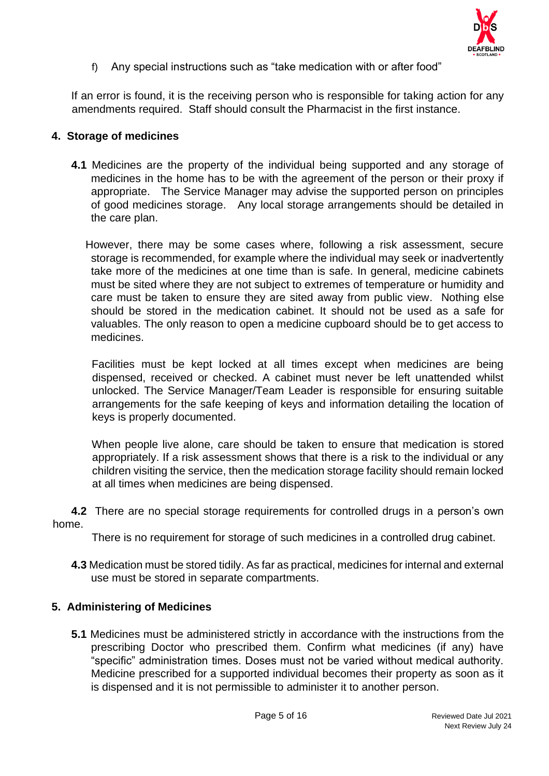

f) Any special instructions such as "take medication with or after food"

If an error is found, it is the receiving person who is responsible for taking action for any amendments required. Staff should consult the Pharmacist in the first instance.

### **4. Storage of medicines**

- **4.1** Medicines are the property of the individual being supported and any storage of medicines in the home has to be with the agreement of the person or their proxy if appropriate. The Service Manager may advise the supported person on principles of good medicines storage. Any local storage arrangements should be detailed in the care plan.
	- However, there may be some cases where, following a risk assessment, secure storage is recommended, for example where the individual may seek or inadvertently take more of the medicines at one time than is safe. In general, medicine cabinets must be sited where they are not subject to extremes of temperature or humidity and care must be taken to ensure they are sited away from public view. Nothing else should be stored in the medication cabinet. It should not be used as a safe for valuables. The only reason to open a medicine cupboard should be to get access to medicines.

Facilities must be kept locked at all times except when medicines are being dispensed, received or checked. A cabinet must never be left unattended whilst unlocked. The Service Manager/Team Leader is responsible for ensuring suitable arrangements for the safe keeping of keys and information detailing the location of keys is properly documented.

When people live alone, care should be taken to ensure that medication is stored appropriately. If a risk assessment shows that there is a risk to the individual or any children visiting the service, then the medication storage facility should remain locked at all times when medicines are being dispensed.

**4.2** There are no special storage requirements for controlled drugs in a person's own home.

There is no requirement for storage of such medicines in a controlled drug cabinet.

**4.3** Medication must be stored tidily. As far as practical, medicines for internal and external use must be stored in separate compartments.

# **5. Administering of Medicines**

**5.1** Medicines must be administered strictly in accordance with the instructions from the prescribing Doctor who prescribed them. Confirm what medicines (if any) have "specific" administration times. Doses must not be varied without medical authority. Medicine prescribed for a supported individual becomes their property as soon as it is dispensed and it is not permissible to administer it to another person.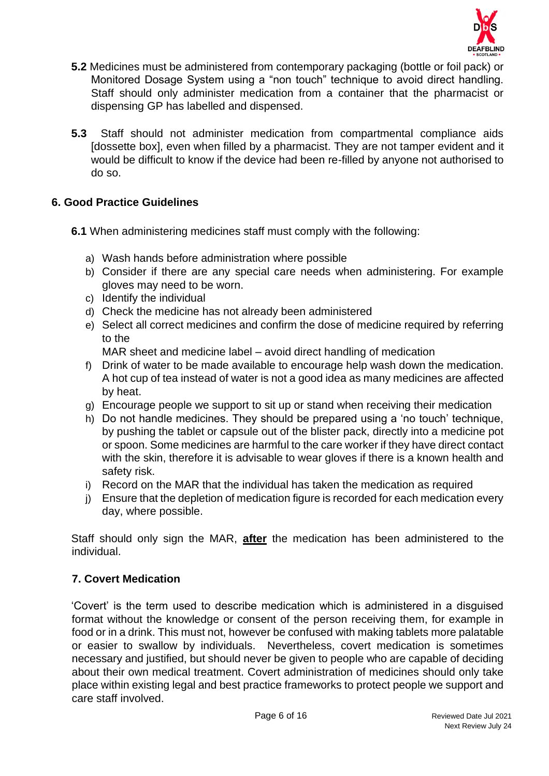

- **5.2** Medicines must be administered from contemporary packaging (bottle or foil pack) or Monitored Dosage System using a "non touch" technique to avoid direct handling. Staff should only administer medication from a container that the pharmacist or dispensing GP has labelled and dispensed.
- **5.3** Staff should not administer medication from compartmental compliance aids [dossette box], even when filled by a pharmacist. They are not tamper evident and it would be difficult to know if the device had been re-filled by anyone not authorised to do so.

# **6. Good Practice Guidelines**

- **6.1** When administering medicines staff must comply with the following:
	- a) Wash hands before administration where possible
	- b) Consider if there are any special care needs when administering. For example gloves may need to be worn.
	- c) Identify the individual
	- d) Check the medicine has not already been administered
	- e) Select all correct medicines and confirm the dose of medicine required by referring to the
		- MAR sheet and medicine label avoid direct handling of medication
	- f) Drink of water to be made available to encourage help wash down the medication. A hot cup of tea instead of water is not a good idea as many medicines are affected by heat.
	- g) Encourage people we support to sit up or stand when receiving their medication
	- h) Do not handle medicines. They should be prepared using a 'no touch' technique, by pushing the tablet or capsule out of the blister pack, directly into a medicine pot or spoon. Some medicines are harmful to the care worker if they have direct contact with the skin, therefore it is advisable to wear gloves if there is a known health and safety risk.
	- i) Record on the MAR that the individual has taken the medication as required
	- j) Ensure that the depletion of medication figure is recorded for each medication every day, where possible.

Staff should only sign the MAR, **after** the medication has been administered to the individual.

# **7. Covert Medication**

'Covert' is the term used to describe medication which is administered in a disguised format without the knowledge or consent of the person receiving them, for example in food or in a drink. This must not, however be confused with making tablets more palatable or easier to swallow by individuals. Nevertheless, covert medication is sometimes necessary and justified, but should never be given to people who are capable of deciding about their own medical treatment. Covert administration of medicines should only take place within existing legal and best practice frameworks to protect people we support and care staff involved.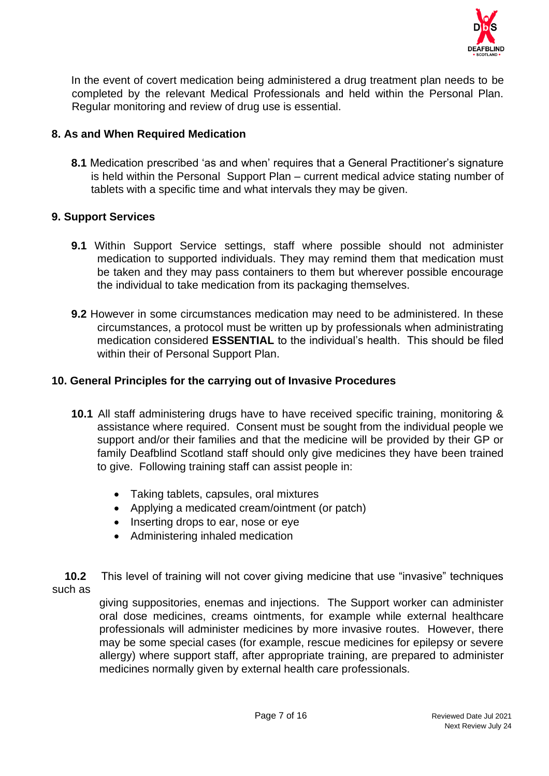

In the event of covert medication being administered a drug treatment plan needs to be completed by the relevant Medical Professionals and held within the Personal Plan. Regular monitoring and review of drug use is essential.

# **8. As and When Required Medication**

**8.1** Medication prescribed 'as and when' requires that a General Practitioner's signature is held within the Personal Support Plan – current medical advice stating number of tablets with a specific time and what intervals they may be given.

# **9. Support Services**

- **9.1** Within Support Service settings, staff where possible should not administer medication to supported individuals. They may remind them that medication must be taken and they may pass containers to them but wherever possible encourage the individual to take medication from its packaging themselves.
- **9.2** However in some circumstances medication may need to be administered. In these circumstances, a protocol must be written up by professionals when administrating medication considered **ESSENTIAL** to the individual's health. This should be filed within their of Personal Support Plan.

### **10. General Principles for the carrying out of Invasive Procedures**

- **10.1** All staff administering drugs have to have received specific training, monitoring & assistance where required. Consent must be sought from the individual people we support and/or their families and that the medicine will be provided by their GP or family Deafblind Scotland staff should only give medicines they have been trained to give. Following training staff can assist people in:
	- Taking tablets, capsules, oral mixtures
	- Applying a medicated cream/ointment (or patch)
	- Inserting drops to ear, nose or eye
	- Administering inhaled medication
- **10.2** This level of training will not cover giving medicine that use "invasive" techniques such as

giving suppositories, enemas and injections. The Support worker can administer oral dose medicines, creams ointments, for example while external healthcare professionals will administer medicines by more invasive routes. However, there may be some special cases (for example, rescue medicines for epilepsy or severe allergy) where support staff, after appropriate training, are prepared to administer medicines normally given by external health care professionals.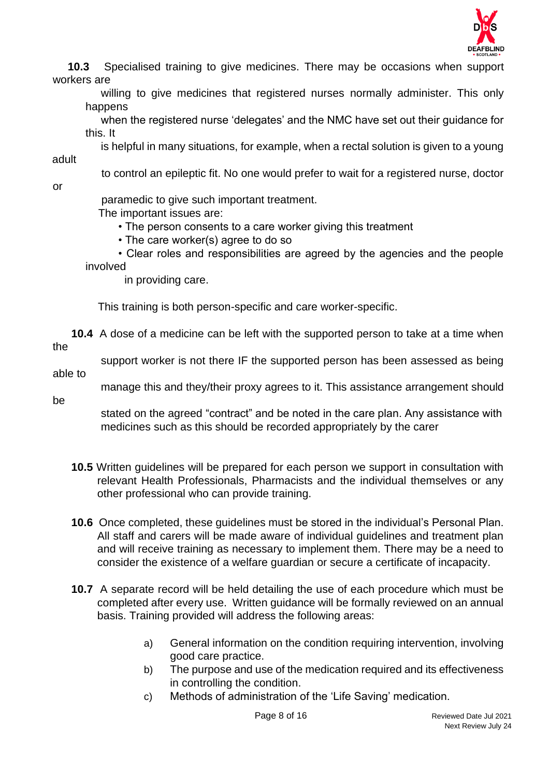

 **10.3** Specialised training to give medicines. There may be occasions when support workers are

willing to give medicines that registered nurses normally administer. This only happens

 when the registered nurse 'delegates' and the NMC have set out their guidance for this. It

is helpful in many situations, for example, when a rectal solution is given to a young

adult

to control an epileptic fit. No one would prefer to wait for a registered nurse, doctor

or

paramedic to give such important treatment.

The important issues are:

- The person consents to a care worker giving this treatment
- The care worker(s) agree to do so

• Clear roles and responsibilities are agreed by the agencies and the people involved

in providing care.

This training is both person-specific and care worker-specific.

**10.4** A dose of a medicine can be left with the supported person to take at a time when the

support worker is not there IF the supported person has been assessed as being

able to

manage this and they/their proxy agrees to it. This assistance arrangement should

be

 stated on the agreed "contract" and be noted in the care plan. Any assistance with medicines such as this should be recorded appropriately by the carer

- **10.5** Written guidelines will be prepared for each person we support in consultation with relevant Health Professionals, Pharmacists and the individual themselves or any other professional who can provide training.
- **10.6** Once completed, these guidelines must be stored in the individual's Personal Plan. All staff and carers will be made aware of individual guidelines and treatment plan and will receive training as necessary to implement them. There may be a need to consider the existence of a welfare guardian or secure a certificate of incapacity.
- **10.7** A separate record will be held detailing the use of each procedure which must be completed after every use. Written guidance will be formally reviewed on an annual basis. Training provided will address the following areas:
	- a) General information on the condition requiring intervention, involving good care practice.
	- b) The purpose and use of the medication required and its effectiveness in controlling the condition.
	- c) Methods of administration of the 'Life Saving' medication.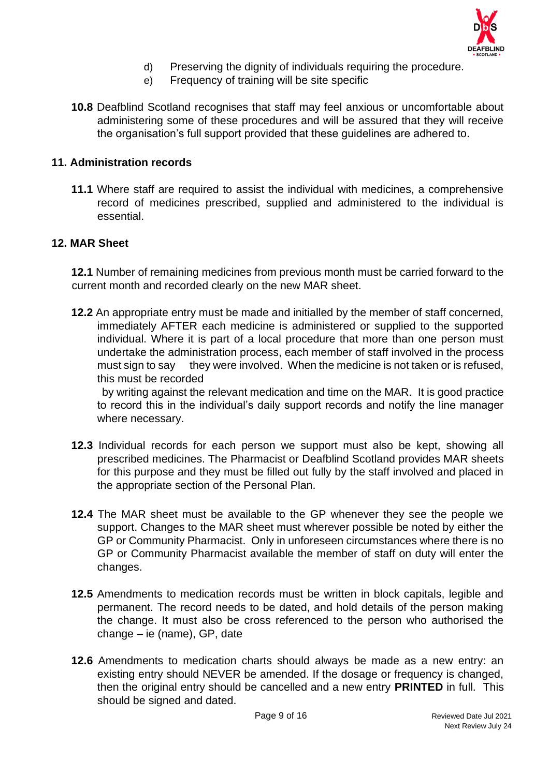

- d) Preserving the dignity of individuals requiring the procedure.
- e) Frequency of training will be site specific
- **10.8** Deafblind Scotland recognises that staff may feel anxious or uncomfortable about administering some of these procedures and will be assured that they will receive the organisation's full support provided that these guidelines are adhered to.

### **11. Administration records**

**11.1** Where staff are required to assist the individual with medicines, a comprehensive record of medicines prescribed, supplied and administered to the individual is essential.

### **12. MAR Sheet**

**12.1** Number of remaining medicines from previous month must be carried forward to the current month and recorded clearly on the new MAR sheet.

**12.2** An appropriate entry must be made and initialled by the member of staff concerned, immediately AFTER each medicine is administered or supplied to the supported individual. Where it is part of a local procedure that more than one person must undertake the administration process, each member of staff involved in the process must sign to say they were involved. When the medicine is not taken or is refused, this must be recorded

by writing against the relevant medication and time on the MAR. It is good practice to record this in the individual's daily support records and notify the line manager where necessary.

- **12.3** Individual records for each person we support must also be kept, showing all prescribed medicines. The Pharmacist or Deafblind Scotland provides MAR sheets for this purpose and they must be filled out fully by the staff involved and placed in the appropriate section of the Personal Plan.
- **12.4** The MAR sheet must be available to the GP whenever they see the people we support. Changes to the MAR sheet must wherever possible be noted by either the GP or Community Pharmacist. Only in unforeseen circumstances where there is no GP or Community Pharmacist available the member of staff on duty will enter the changes.
- **12.5** Amendments to medication records must be written in block capitals, legible and permanent. The record needs to be dated, and hold details of the person making the change. It must also be cross referenced to the person who authorised the change – ie (name), GP, date
- **12.6** Amendments to medication charts should always be made as a new entry: an existing entry should NEVER be amended. If the dosage or frequency is changed, then the original entry should be cancelled and a new entry **PRINTED** in full. This should be signed and dated.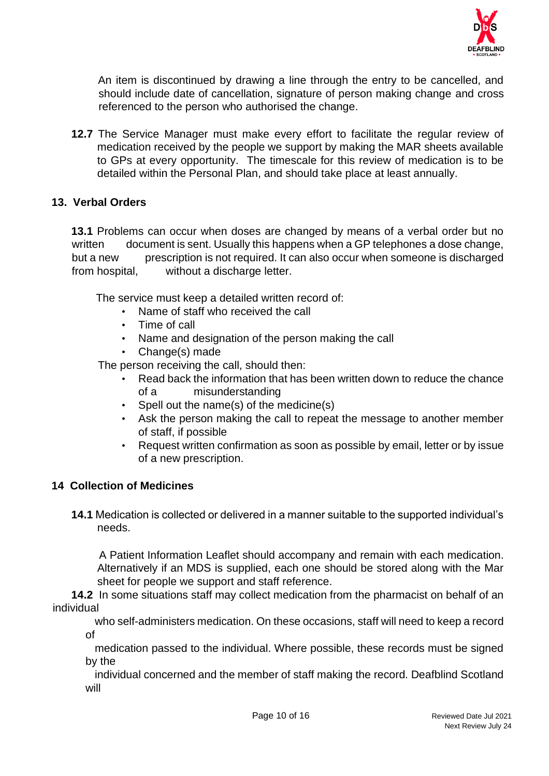

An item is discontinued by drawing a line through the entry to be cancelled, and should include date of cancellation, signature of person making change and cross referenced to the person who authorised the change.

**12.7** The Service Manager must make every effort to facilitate the regular review of medication received by the people we support by making the MAR sheets available to GPs at every opportunity. The timescale for this review of medication is to be detailed within the Personal Plan, and should take place at least annually.

### **13. Verbal Orders**

**13.1** Problems can occur when doses are changed by means of a verbal order but no written document is sent. Usually this happens when a GP telephones a dose change, but a new prescription is not required. It can also occur when someone is discharged from hospital, without a discharge letter.

The service must keep a detailed written record of:

- Name of staff who received the call
- Time of call
- Name and designation of the person making the call
- Change(s) made

The person receiving the call, should then:

- Read back the information that has been written down to reduce the chance of a misunderstanding
- Spell out the name(s) of the medicine(s)
- Ask the person making the call to repeat the message to another member of staff, if possible
- Request written confirmation as soon as possible by email, letter or by issue of a new prescription.

#### **14 Collection of Medicines**

**14.1** Medication is collected or delivered in a manner suitable to the supported individual's needs.

 A Patient Information Leaflet should accompany and remain with each medication. Alternatively if an MDS is supplied, each one should be stored along with the Mar sheet for people we support and staff reference.

**14.2** In some situations staff may collect medication from the pharmacist on behalf of an individual

 who self-administers medication. On these occasions, staff will need to keep a record of

 medication passed to the individual. Where possible, these records must be signed by the

 individual concerned and the member of staff making the record. Deafblind Scotland will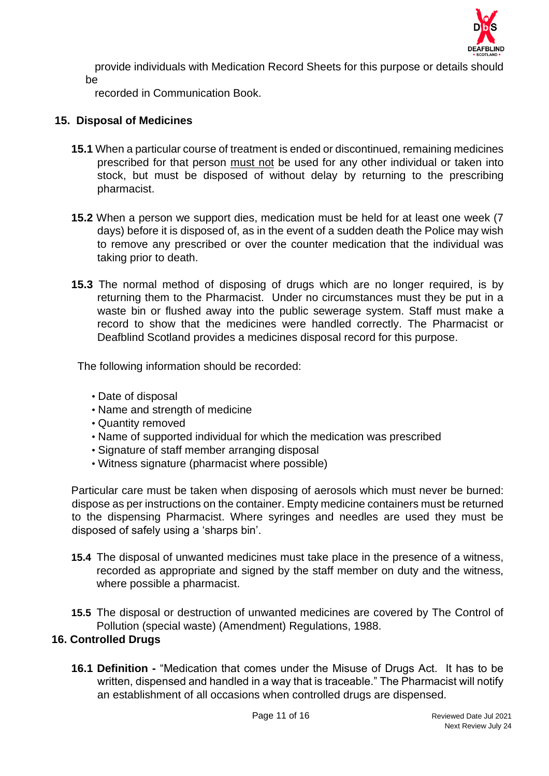

 provide individuals with Medication Record Sheets for this purpose or details should be

recorded in Communication Book.

# **15. Disposal of Medicines**

- **15.1** When a particular course of treatment is ended or discontinued, remaining medicines prescribed for that person must not be used for any other individual or taken into stock, but must be disposed of without delay by returning to the prescribing pharmacist.
- **15.2** When a person we support dies, medication must be held for at least one week (7 days) before it is disposed of, as in the event of a sudden death the Police may wish to remove any prescribed or over the counter medication that the individual was taking prior to death.
- **15.3** The normal method of disposing of drugs which are no longer required, is by returning them to the Pharmacist. Under no circumstances must they be put in a waste bin or flushed away into the public sewerage system. Staff must make a record to show that the medicines were handled correctly. The Pharmacist or Deafblind Scotland provides a medicines disposal record for this purpose.

The following information should be recorded:

- Date of disposal
- Name and strength of medicine
- Quantity removed
- Name of supported individual for which the medication was prescribed
- Signature of staff member arranging disposal
- Witness signature (pharmacist where possible)

Particular care must be taken when disposing of aerosols which must never be burned: dispose as per instructions on the container. Empty medicine containers must be returned to the dispensing Pharmacist. Where syringes and needles are used they must be disposed of safely using a 'sharps bin'.

- **15.4** The disposal of unwanted medicines must take place in the presence of a witness, recorded as appropriate and signed by the staff member on duty and the witness, where possible a pharmacist.
- **15.5** The disposal or destruction of unwanted medicines are covered by The Control of Pollution (special waste) (Amendment) Regulations, 1988.

#### **16. Controlled Drugs**

**16.1 Definition -** "Medication that comes under the Misuse of Drugs Act. It has to be written, dispensed and handled in a way that is traceable." The Pharmacist will notify an establishment of all occasions when controlled drugs are dispensed.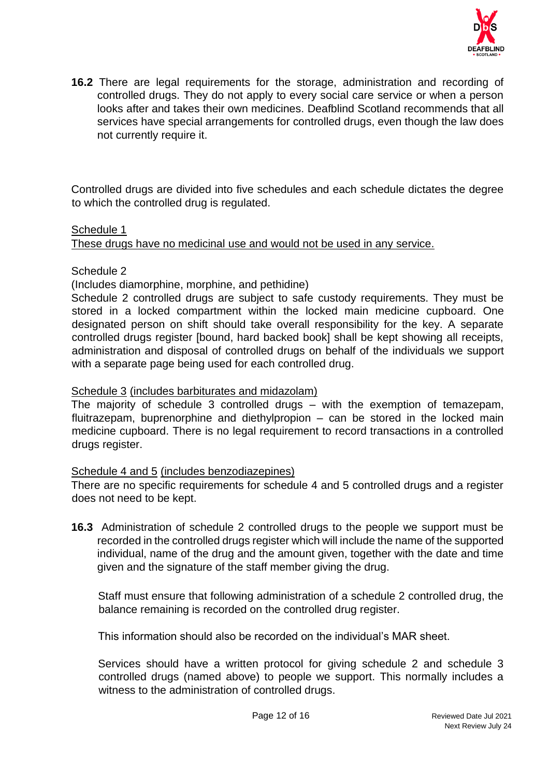

**16.2** There are legal requirements for the storage, administration and recording of controlled drugs. They do not apply to every social care service or when a person looks after and takes their own medicines. Deafblind Scotland recommends that all services have special arrangements for controlled drugs, even though the law does not currently require it.

Controlled drugs are divided into five schedules and each schedule dictates the degree to which the controlled drug is regulated.

### Schedule 1

These drugs have no medicinal use and would not be used in any service.

#### Schedule 2

#### (Includes diamorphine, morphine, and pethidine)

Schedule 2 controlled drugs are subject to safe custody requirements. They must be stored in a locked compartment within the locked main medicine cupboard. One designated person on shift should take overall responsibility for the key. A separate controlled drugs register [bound, hard backed book] shall be kept showing all receipts, administration and disposal of controlled drugs on behalf of the individuals we support with a separate page being used for each controlled drug.

#### Schedule 3 (includes barbiturates and midazolam)

The majority of schedule 3 controlled drugs – with the exemption of temazepam, fluitrazepam, buprenorphine and diethylpropion – can be stored in the locked main medicine cupboard. There is no legal requirement to record transactions in a controlled drugs register.

#### Schedule 4 and 5 (includes benzodiazepines)

There are no specific requirements for schedule 4 and 5 controlled drugs and a register does not need to be kept.

**16.3** Administration of schedule 2 controlled drugs to the people we support must be recorded in the controlled drugs register which will include the name of the supported individual, name of the drug and the amount given, together with the date and time given and the signature of the staff member giving the drug.

Staff must ensure that following administration of a schedule 2 controlled drug, the balance remaining is recorded on the controlled drug register.

This information should also be recorded on the individual's MAR sheet.

Services should have a written protocol for giving schedule 2 and schedule 3 controlled drugs (named above) to people we support. This normally includes a witness to the administration of controlled drugs.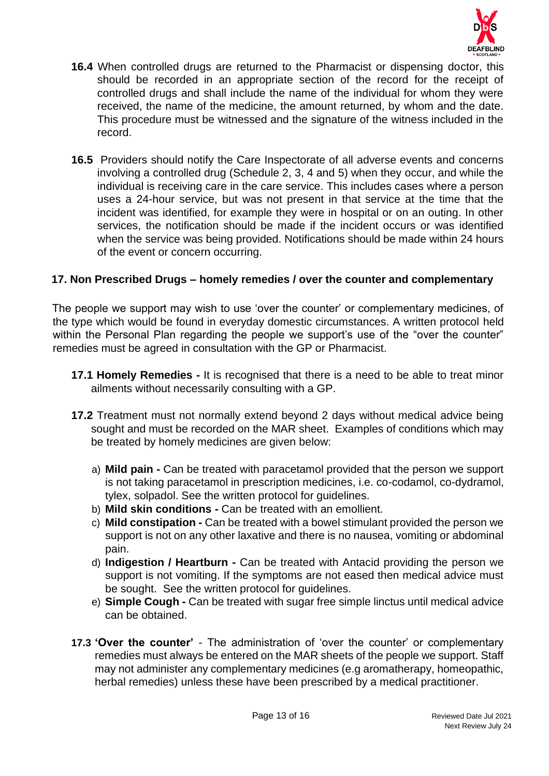

- **16.4** When controlled drugs are returned to the Pharmacist or dispensing doctor, this should be recorded in an appropriate section of the record for the receipt of controlled drugs and shall include the name of the individual for whom they were received, the name of the medicine, the amount returned, by whom and the date. This procedure must be witnessed and the signature of the witness included in the record.
- **16.5** Providers should notify the Care Inspectorate of all adverse events and concerns involving a controlled drug (Schedule 2, 3, 4 and 5) when they occur, and while the individual is receiving care in the care service. This includes cases where a person uses a 24-hour service, but was not present in that service at the time that the incident was identified, for example they were in hospital or on an outing. In other services, the notification should be made if the incident occurs or was identified when the service was being provided. Notifications should be made within 24 hours of the event or concern occurring.

# **17. Non Prescribed Drugs – homely remedies / over the counter and complementary**

The people we support may wish to use 'over the counter' or complementary medicines, of the type which would be found in everyday domestic circumstances. A written protocol held within the Personal Plan regarding the people we support's use of the "over the counter" remedies must be agreed in consultation with the GP or Pharmacist.

- **17.1 Homely Remedies -** It is recognised that there is a need to be able to treat minor ailments without necessarily consulting with a GP.
- **17.2** Treatment must not normally extend beyond 2 days without medical advice being sought and must be recorded on the MAR sheet. Examples of conditions which may be treated by homely medicines are given below:
	- a) **Mild pain -** Can be treated with paracetamol provided that the person we support is not taking paracetamol in prescription medicines, i.e. co-codamol, co-dydramol, tylex, solpadol. See the written protocol for guidelines.
	- b) **Mild skin conditions -** Can be treated with an emollient.
	- c) **Mild constipation -** Can be treated with a bowel stimulant provided the person we support is not on any other laxative and there is no nausea, vomiting or abdominal pain.
	- d) **Indigestion / Heartburn -** Can be treated with Antacid providing the person we support is not vomiting. If the symptoms are not eased then medical advice must be sought. See the written protocol for guidelines.
	- e) **Simple Cough -** Can be treated with sugar free simple linctus until medical advice can be obtained.
- **17.3 'Over the counter'** The administration of 'over the counter' or complementary remedies must always be entered on the MAR sheets of the people we support. Staff may not administer any complementary medicines (e.g aromatherapy, homeopathic, herbal remedies) unless these have been prescribed by a medical practitioner.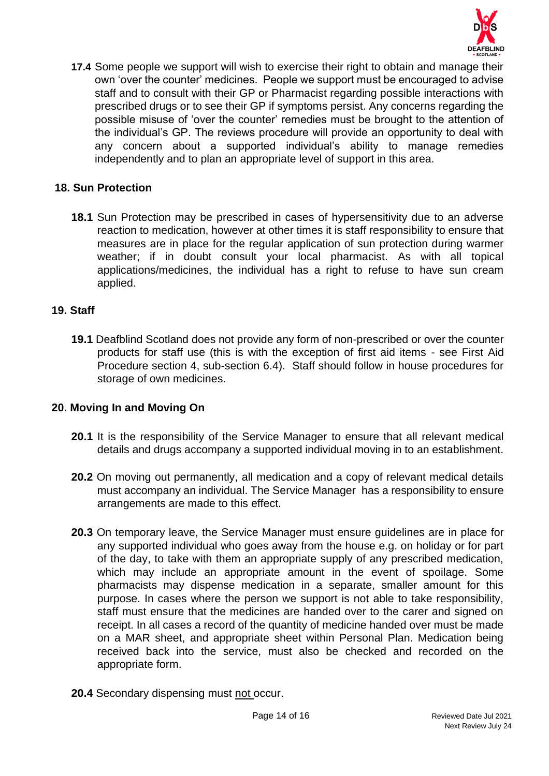

**17.4** Some people we support will wish to exercise their right to obtain and manage their own 'over the counter' medicines. People we support must be encouraged to advise staff and to consult with their GP or Pharmacist regarding possible interactions with prescribed drugs or to see their GP if symptoms persist. Any concerns regarding the possible misuse of 'over the counter' remedies must be brought to the attention of the individual's GP. The reviews procedure will provide an opportunity to deal with any concern about a supported individual's ability to manage remedies independently and to plan an appropriate level of support in this area.

### **18. Sun Protection**

**18.1** Sun Protection may be prescribed in cases of hypersensitivity due to an adverse reaction to medication, however at other times it is staff responsibility to ensure that measures are in place for the regular application of sun protection during warmer weather; if in doubt consult your local pharmacist. As with all topical applications/medicines, the individual has a right to refuse to have sun cream applied.

#### **19. Staff**

**19.1** Deafblind Scotland does not provide any form of non-prescribed or over the counter products for staff use (this is with the exception of first aid items - see First Aid Procedure section 4, sub-section 6.4). Staff should follow in house procedures for storage of own medicines.

# **20. Moving In and Moving On**

- **20.1** It is the responsibility of the Service Manager to ensure that all relevant medical details and drugs accompany a supported individual moving in to an establishment.
- **20.2** On moving out permanently, all medication and a copy of relevant medical details must accompany an individual. The Service Manager has a responsibility to ensure arrangements are made to this effect.
- **20.3** On temporary leave, the Service Manager must ensure guidelines are in place for any supported individual who goes away from the house e.g. on holiday or for part of the day, to take with them an appropriate supply of any prescribed medication, which may include an appropriate amount in the event of spoilage. Some pharmacists may dispense medication in a separate, smaller amount for this purpose. In cases where the person we support is not able to take responsibility, staff must ensure that the medicines are handed over to the carer and signed on receipt. In all cases a record of the quantity of medicine handed over must be made on a MAR sheet, and appropriate sheet within Personal Plan. Medication being received back into the service, must also be checked and recorded on the appropriate form.
- 20.4 Secondary dispensing must not occur.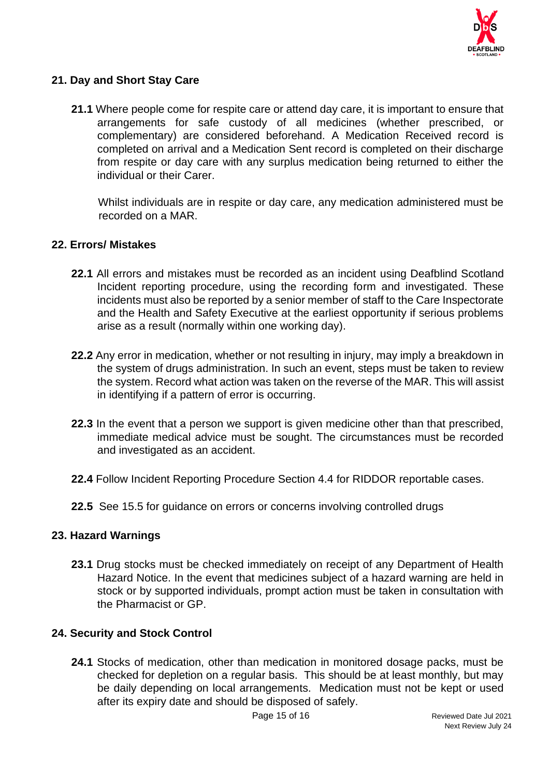

### **21. Day and Short Stay Care**

**21.1** Where people come for respite care or attend day care, it is important to ensure that arrangements for safe custody of all medicines (whether prescribed, or complementary) are considered beforehand. A Medication Received record is completed on arrival and a Medication Sent record is completed on their discharge from respite or day care with any surplus medication being returned to either the individual or their Carer.

Whilst individuals are in respite or day care, any medication administered must be recorded on a MAR.

#### **22. Errors/ Mistakes**

- **22.1** All errors and mistakes must be recorded as an incident using Deafblind Scotland Incident reporting procedure, using the recording form and investigated. These incidents must also be reported by a senior member of staff to the Care Inspectorate and the Health and Safety Executive at the earliest opportunity if serious problems arise as a result (normally within one working day).
- **22.2** Any error in medication, whether or not resulting in injury, may imply a breakdown in the system of drugs administration. In such an event, steps must be taken to review the system. Record what action was taken on the reverse of the MAR. This will assist in identifying if a pattern of error is occurring.
- **22.3** In the event that a person we support is given medicine other than that prescribed, immediate medical advice must be sought. The circumstances must be recorded and investigated as an accident.
- **22.4** Follow Incident Reporting Procedure Section 4.4 for RIDDOR reportable cases.
- **22.5** See 15.5 for guidance on errors or concerns involving controlled drugs

#### **23. Hazard Warnings**

**23.1** Drug stocks must be checked immediately on receipt of any Department of Health Hazard Notice. In the event that medicines subject of a hazard warning are held in stock or by supported individuals, prompt action must be taken in consultation with the Pharmacist or GP.

#### **24. Security and Stock Control**

**24.1** Stocks of medication, other than medication in monitored dosage packs, must be checked for depletion on a regular basis. This should be at least monthly, but may be daily depending on local arrangements. Medication must not be kept or used after its expiry date and should be disposed of safely.